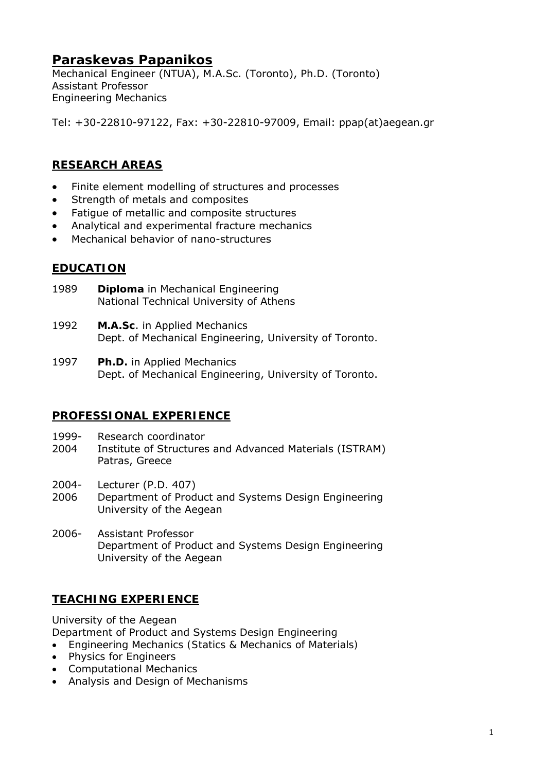# **Paraskevas Papanikos**

Mechanical Engineer (NTUA), M.A.Sc. (Toronto), Ph.D. (Toronto) Assistant Professor *Engineering Mechanics* 

Tel: +30-22810-97122, Fax: +30-22810-97009, Email: ppap(at)aegean.gr

### **RESEARCH AREAS**

- Finite element modelling of structures and processes
- Strength of metals and composites
- Fatigue of metallic and composite structures
- Analytical and experimental fracture mechanics
- Mechanical behavior of nano-structures

#### **EDUCATION**

- 1989 **Diploma** in Mechanical Engineering National Technical University of Athens
- 1992 **M.A.Sc**. in Applied Mechanics Dept. of Mechanical Engineering, University of Toronto.
- 1997 **Ph.D.** in Applied Mechanics Dept. of Mechanical Engineering, University of Toronto.

### **PROFESSIONAL EXPERIENCE**

- 1999- Research coordinator
- 2004 Institute of Structures and Advanced Materials (ISTRAM) Patras, Greece
- 2004- Lecturer (P.D. 407)
- 2006 Department of Product and Systems Design Engineering University of the Aegean
- 2006- Assistant Professor Department of Product and Systems Design Engineering University of the Aegean

### **TEACHING EXPERIENCE**

University of the Aegean

Department of Product and Systems Design Engineering

- *Engineering Mechanics (Statics & Mechanics of Materials)*
- *Physics for Engineers*
- *Computational Mechanics*
- *Analysis and Design of Mechanisms*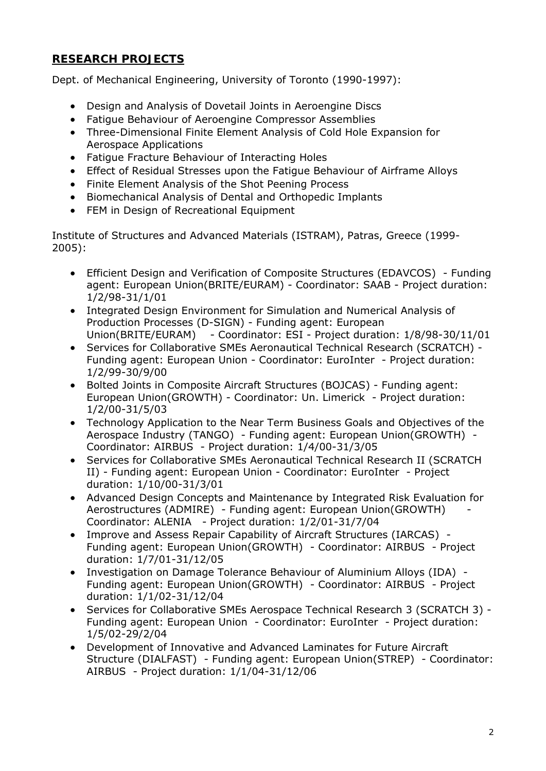## **RESEARCH PROJECTS**

Dept. of Mechanical Engineering, University of Toronto (1990-1997):

- Design and Analysis of Dovetail Joints in Aeroengine Discs
- Fatigue Behaviour of Aeroengine Compressor Assemblies
- Three-Dimensional Finite Element Analysis of Cold Hole Expansion for Aerospace Applications
- Fatigue Fracture Behaviour of Interacting Holes
- Effect of Residual Stresses upon the Fatigue Behaviour of Airframe Alloys
- Finite Element Analysis of the Shot Peening Process
- Biomechanical Analysis of Dental and Orthopedic Implants
- FEM in Design of Recreational Equipment

Institute of Structures and Advanced Materials (ISTRAM), Patras, Greece (1999- 2005):

- Efficient Design and Verification of Composite Structures (EDAVCOS) Funding agent: European Union(BRITE/EURAM) - Coordinator: SAAB - Project duration: 1/2/98-31/1/01
- Integrated Design Environment for Simulation and Numerical Analysis of Production Processes (D-SIGN) - Funding agent: European Union(BRITE/EURAM) - Coordinator: ESI - Project duration: 1/8/98-30/11/01
- Services for Collaborative SMEs Aeronautical Technical Research (SCRATCH) Funding agent: European Union - Coordinator: EuroInter - Project duration: 1/2/99-30/9/00
- Bolted Joints in Composite Aircraft Structures (BOJCAS) Funding agent: European Union(GROWTH) - Coordinator: Un. Limerick - Project duration: 1/2/00-31/5/03
- Technology Application to the Near Term Business Goals and Objectives of the Aerospace Industry (TANGO) - Funding agent: European Union(GROWTH) - Coordinator: AIRBUS - Project duration: 1/4/00-31/3/05
- Services for Collaborative SMEs Aeronautical Technical Research II (SCRATCH II) - Funding agent: European Union - Coordinator: EuroInter - Project duration: 1/10/00-31/3/01
- Advanced Design Concepts and Maintenance by Integrated Risk Evaluation for Aerostructures (ADMIRE) - Funding agent: European Union(GROWTH) - Coordinator: ALENIA - Project duration: 1/2/01-31/7/04
- Improve and Assess Repair Capability of Aircraft Structures (IARCAS) Funding agent: European Union(GROWTH) - Coordinator: AIRBUS - Project duration: 1/7/01-31/12/05
- Investigation on Damage Tolerance Behaviour of Aluminium Alloys (IDA) Funding agent: European Union(GROWTH) - Coordinator: AIRBUS - Project duration: 1/1/02-31/12/04
- Services for Collaborative SMEs Aerospace Technical Research 3 (SCRATCH 3) Funding agent: European Union - Coordinator: EuroInter - Project duration: 1/5/02-29/2/04
- Development of Innovative and Advanced Laminates for Future Aircraft Structure (DIALFAST) - Funding agent: European Union(STREP) - Coordinator: AIRBUS - Project duration: 1/1/04-31/12/06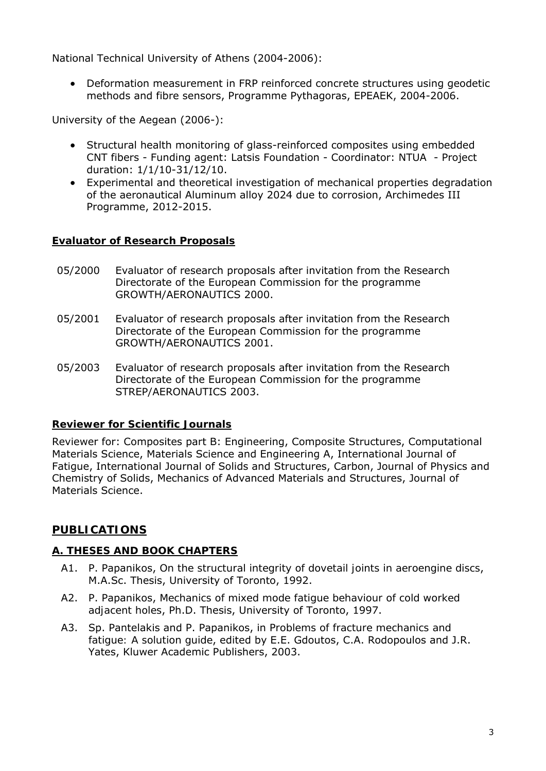National Technical University of Athens (2004-2006):

• Deformation measurement in FRP reinforced concrete structures using geodetic methods and fibre sensors, Programme Pythagoras, EPEAEK, 2004-2006.

University of the Aegean (2006-):

- Structural health monitoring of glass-reinforced composites using embedded CNT fibers - Funding agent: Latsis Foundation - Coordinator: NTUA - Project duration: 1/1/10-31/12/10.
- Experimental and theoretical investigation of mechanical properties degradation of the aeronautical Aluminum alloy 2024 due to corrosion, Archimedes III Programme, 2012-2015.

#### **Evaluator of Research Proposals**

- 05/2000 Evaluator of research proposals after invitation from the Research Directorate of the European Commission for the programme GROWTH/AERONAUTICS 2000.
- 05/2001 Evaluator of research proposals after invitation from the Research Directorate of the European Commission for the programme GROWTH/AERONAUTICS 2001.
- 05/2003 Evaluator of research proposals after invitation from the Research Directorate of the European Commission for the programme STREP/AERONAUTICS 2003.

### **Reviewer for Scientific Journals**

Reviewer for: Composites part B: Engineering, Composite Structures, Computational Materials Science, Materials Science and Engineering A, International Journal of Fatigue, International Journal of Solids and Structures, Carbon, Journal of Physics and Chemistry of Solids, Mechanics of Advanced Materials and Structures, Journal of Materials Science.

## **PUBLICATIONS**

### **A. THESES AND BOOK CHAPTERS**

- A1. P. Papanikos, *On the structural integrity of dovetail joints in aeroengine discs*, M.A.Sc. Thesis, University of Toronto, 1992.
- A2. P. Papanikos, *Mechanics of mixed mode fatigue behaviour of cold worked adjacent holes*, Ph.D. Thesis, University of Toronto, 1997.
- A3. Sp. Pantelakis and P. Papanikos, in *Problems of fracture mechanics and fatigue: A solution guide*, edited by E.E. Gdoutos, C.A. Rodopoulos and J.R. Yates, Kluwer Academic Publishers, 2003.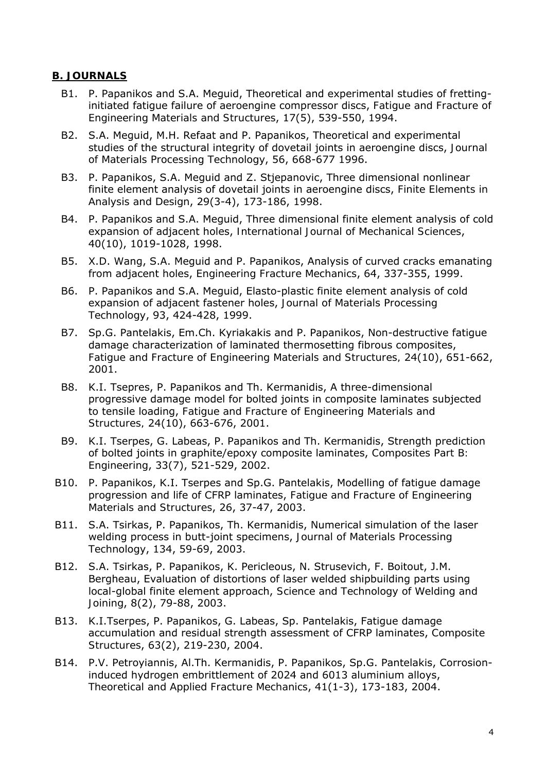#### **B. JOURNALS**

- B1. P. Papanikos and S.A. Meguid, Theoretical and experimental studies of frettinginitiated fatigue failure of aeroengine compressor discs, *Fatigue and Fracture of Engineering Materials and Structures*, 17(5), 539-550, 1994.
- B2. S.A. Meguid, M.H. Refaat and P. Papanikos, Theoretical and experimental studies of the structural integrity of dovetail joints in aeroengine discs, *Journal of Materials Processing Technology*, 56, 668-677 1996.
- B3. P. Papanikos, S.A. Meguid and Z. Stjepanovic, Three dimensional nonlinear finite element analysis of dovetail joints in aeroengine discs, *Finite Elements in Analysis and Design*, 29(3-4), 173-186, 1998.
- B4. P. Papanikos and S.A. Meguid, Three dimensional finite element analysis of cold expansion of adjacent holes, *International Journal of Mechanical Sciences*, 40(10), 1019-1028, 1998.
- B5. X.D. Wang, S.A. Meguid and P. Papanikos, Analysis of curved cracks emanating from adjacent holes, *Engineering Fracture Mechanics*, 64, 337-355, 1999.
- B6. P. Papanikos and S.A. Meguid, Elasto-plastic finite element analysis of cold expansion of adjacent fastener holes, *Journal of Materials Processing Technology*, 93, 424-428, 1999.
- B7. Sp.G. Pantelakis, Em.Ch. Kyriakakis and P. Papanikos, Non-destructive fatigue damage characterization of laminated thermosetting fibrous composites, *Fatigue and Fracture of Engineering Materials and Structures,* 24(10), 651-662, 2001.
- B8. K.I. Tsepres, P. Papanikos and Th. Kermanidis, A three-dimensional progressive damage model for bolted joints in composite laminates subjected to tensile loading, *Fatigue and Fracture of Engineering Materials and Structures,* 24(10), 663-676, 2001.
- B9. K.I. Tserpes, G. Labeas, P. Papanikos and Th. Kermanidis, Strength prediction of bolted joints in graphite/epoxy composite laminates, *Composites Part B: Engineering*, 33(7), 521-529, 2002.
- B10. P. Papanikos, K.I. Tserpes and Sp.G. Pantelakis, Modelling of fatigue damage progression and life of CFRP laminates, *Fatigue and Fracture of Engineering Materials and Structures*, 26, 37-47, 2003.
- B11. S.A. Tsirkas, P. Papanikos, Th. Kermanidis, Numerical simulation of the laser welding process in butt-joint specimens, *Journal of Materials Processing Technology*, 134, 59-69, 2003.
- B12. S.A. Tsirkas, P. Papanikos, K. Pericleous, N. Strusevich, F. Boitout, J.M. Bergheau, Evaluation of distortions of laser welded shipbuilding parts using local-global finite element approach, *Science and Technology of Welding and Joining*, 8(2), 79-88, 2003.
- B13. K.I.Tserpes, P. Papanikos, G. Labeas, Sp. Pantelakis, Fatigue damage accumulation and residual strength assessment of CFRP laminates, *Composite Structures*, 63(2), 219-230, 2004.
- B14. P.V. Petroyiannis, Al.Th. Kermanidis, P. Papanikos, Sp.G. Pantelakis, Corrosioninduced hydrogen embrittlement of 2024 and 6013 aluminium alloys, *Theoretical and Applied Fracture Mechanics*, 41(1-3), 173-183, 2004.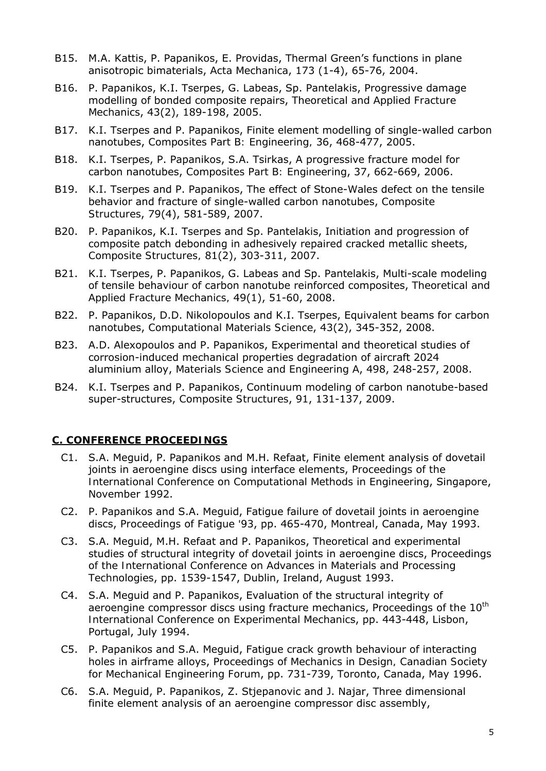- B15. M.A. Kattis, P. Papanikos, E. Providas, Thermal Green's functions in plane anisotropic bimaterials, *Acta Mechanica*, 173 (1-4), 65-76, 2004.
- B16. P. Papanikos, K.I. Tserpes, G. Labeas, Sp. Pantelakis, Progressive damage modelling of bonded composite repairs, *Theoretical and Applied Fracture Mechanics*, 43(2), 189-198, 2005.
- B17. K.I. Tserpes and P. Papanikos, Finite element modelling of single-walled carbon nanotubes, *Composites Part B: Engineering,* 36, 468-477, 2005.
- B18. K.I. Tserpes, P. Papanikos, S.A. Tsirkas, A progressive fracture model for carbon nanotubes, *Composites Part B: Engineering*, 37, 662-669, 2006.
- B19. K.I. Tserpes and P. Papanikos, The effect of Stone-Wales defect on the tensile behavior and fracture of single-walled carbon nanotubes, *Composite Structures*, 79(4), 581-589, 2007.
- B20. P. Papanikos, K.I. Tserpes and Sp. Pantelakis, Initiation and progression of composite patch debonding in adhesively repaired cracked metallic sheets, *Composite Structures,* 81(2), 303-311, 2007.
- B21. K.I. Tserpes, P. Papanikos, G. Labeas and Sp. Pantelakis, Multi-scale modeling of tensile behaviour of carbon nanotube reinforced composites, *Theoretical and Applied Fracture Mechanics,* 49(1), 51-60, 2008.
- B22. P. Papanikos, D.D. Nikolopoulos and K.I. Tserpes, Equivalent beams for carbon nanotubes, *Computational Materials Science*, 43(2), 345-352, 2008.
- B23. A.D. Alexopoulos and P. Papanikos, Experimental and theoretical studies of corrosion-induced mechanical properties degradation of aircraft 2024 aluminium alloy, *Materials Science and Engineering A*, 498, 248-257, 2008.
- B24. K.I. Tserpes and P. Papanikos, Continuum modeling of carbon nanotube-based super-structures, *Composite Structures*, 91, 131-137, 2009.

#### **C. CONFERENCE PROCEEDINGS**

- C1. S.A. Meguid, P. Papanikos and M.H. Refaat, Finite element analysis of dovetail joints in aeroengine discs using interface elements, *Proceedings of the International Conference on Computational Methods in Engineering*, Singapore, November 1992.
- C2. P. Papanikos and S.A. Meguid, Fatigue failure of dovetail joints in aeroengine discs, *Proceedings of Fatigue '93*, pp. 465-470, Montreal, Canada, May 1993.
- C3. S.A. Meguid, M.H. Refaat and P. Papanikos, Theoretical and experimental studies of structural integrity of dovetail joints in aeroengine discs, *Proceedings of the International Conference on Advances in Materials and Processing Technologies*, pp. 1539-1547, Dublin, Ireland, August 1993.
- C4. S.A. Meguid and P. Papanikos, Evaluation of the structural integrity of aeroengine compressor discs using fracture mechanics, *Proceedings of the 10<sup>th</sup> International Conference on Experimental Mechanic*s, pp. 443-448, Lisbon, Portugal, July 1994.
- C5. P. Papanikos and S.A. Meguid, Fatigue crack growth behaviour of interacting holes in airframe alloys, *Proceedings of Mechanics in Design, Canadian Society for Mechanical Engineering Forum*, pp. 731-739, Toronto, Canada, May 1996.
- C6. S.A. Meguid, P. Papanikos, Z. Stjepanovic and J. Najar, Three dimensional finite element analysis of an aeroengine compressor disc assembly,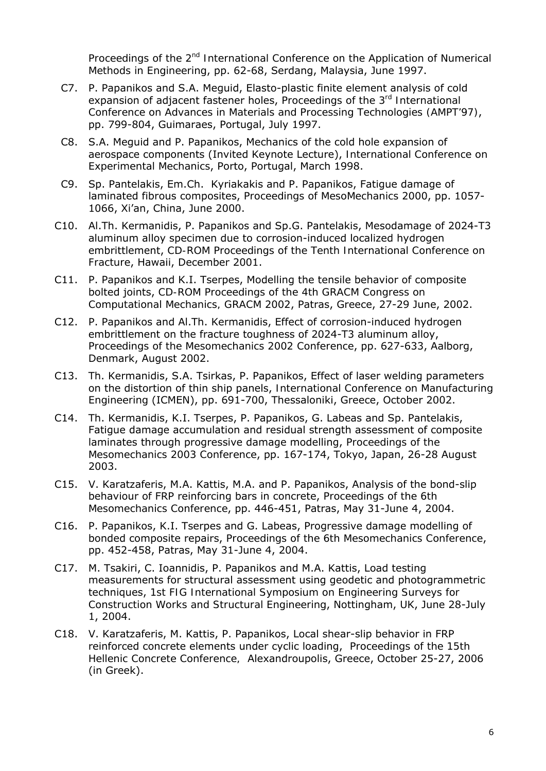*Proceedings of the 2nd International Conference on the Application of Numerical Methods in Engineering*, pp. 62-68, Serdang, Malaysia, June 1997.

- C7. P. Papanikos and S.A. Meguid, Elasto-plastic finite element analysis of cold expansion of adjacent fastener holes, *Proceedings of the 3rd International Conference on Advances in Materials and Processing Technologies (AMPT'97)*, pp. 799-804, Guimaraes, Portugal, July 1997.
- C8. S.A. Meguid and P. Papanikos, Mechanics of the cold hole expansion of aerospace components (Invited Keynote Lecture), *International Conference on Experimental Mechanics*, Porto, Portugal, March 1998.
- C9. Sp. Pantelakis, Em.Ch. Kyriakakis and P. Papanikos, Fatigue damage of laminated fibrous composites, *Proceedings of MesoMechanics 2000*, pp. 1057- 1066, Xi'an, China, June 2000.
- C10. Al.Th. Kermanidis, P. Papanikos and Sp.G. Pantelakis, Mesodamage of 2024-T3 aluminum alloy specimen due to corrosion-induced localized hydrogen embrittlement, *CD-ROM Proceedings of the Tenth International Conference on Fracture*, Hawaii, December 2001.
- C11. P. Papanikos and K.I. Tserpes, Modelling the tensile behavior of composite bolted joints, *CD-ROM Proceedings of the 4th GRACM Congress on Computational Mechanics, GRACM 2002*, Patras, Greece, 27-29 June, 2002.
- C12. P. Papanikos and Al.Th. Kermanidis, Effect of corrosion-induced hydrogen embrittlement on the fracture toughness of 2024-T3 aluminum alloy, *Proceedings of the Mesomechanics 2002 Conference*, pp. 627-633, Aalborg, Denmark, August 2002.
- C13. Th. Kermanidis, S.A. Tsirkas, P. Papanikos, Effect of laser welding parameters on the distortion of thin ship panels, *International Conference on Manufacturing Engineering* (ICMEN), pp. 691-700, Thessaloniki, Greece, October 2002.
- C14. Th. Κermanidis, K.I. Τserpes, P. Papanikos, G. Labeas and Sp. Pantelakis, Fatigue damage accumulation and residual strength assessment of composite laminates through progressive damage modelling, *Proceedings of the Mesomechanics 2003 Conference*, pp. 167-174, Tokyo, Japan, 26-28 August 2003.
- C15. V. Karatzaferis, M.A. Kattis, M.A. and P. Papanikos, Analysis of the bond-slip behaviour of FRP reinforcing bars in concrete, *Proceedings of the 6th Mesomechanics Conference*, pp. 446-451, Patras, May 31-June 4, 2004.
- C16. P. Papanikos, K.I. Tserpes and G. Labeas, Progressive damage modelling of bonded composite repairs, *Proceedings of the 6th Mesomechanics Conference*, pp. 452-458, Patras, May 31-June 4, 2004.
- C17. M. Tsakiri, C. Ioannidis, P. Papanikos and M.A. Kattis, Load testing measurements for structural assessment using geodetic and photogrammetric techniques, *1st FIG International Symposium on Engineering Surveys for Construction Works and Structural Engineering*, Nottingham, UK, June 28-July 1, 2004.
- C18. V. Karatzaferis, M. Kattis, P. Papanikos, Local shear-slip behavior in FRP reinforced concrete elements under cyclic loading, *Proceedings of the 15th Hellenic Concrete Conference,* Alexandroupolis, Greece, October 25-27, 2006 (in Greek).